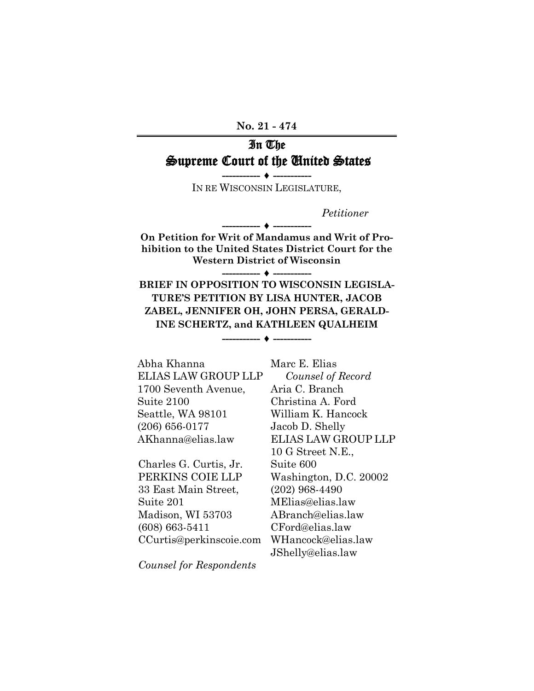**No. 21 - 474**

# In The Supreme Court of the United States

**----------- ♦ -----------** IN RE WISCONSIN LEGISLATURE,

*Petitioner*

**On Petition for Writ of Mandamus and Writ of Prohibition to the United States District Court for the Western District of Wisconsin**

**----------- ♦ -----------**

**----------- ♦ -----------**

**BRIEF IN OPPOSITION TO WISCONSIN LEGISLA-TURE'S PETITION BY LISA HUNTER, JACOB ZABEL, JENNIFER OH, JOHN PERSA, GERALD-INE SCHERTZ, and KATHLEEN QUALHEIM**

**----------- ♦ -----------**

Abha Khanna ELIAS LAW GROUP LLP 1700 Seventh Avenue, Suite 2100 Seattle, WA 98101 (206) 656-0177 AKhanna@elias.law

Charles G. Curtis, Jr. PERKINS COIE LLP 33 East Main Street, Suite 201 Madison, WI 53703 (608) 663-5411 CCurtis@perkinscoie.com Marc E. Elias *Counsel of Record* Aria C. Branch Christina A. Ford William K. Hancock Jacob D. Shelly ELIAS LAW GROUP LLP 10 G Street N.E., Suite 600 Washington, D.C. 20002 (202) 968-4490 MElias@elias.law ABranch@elias.law CFord@elias.law WHancock@elias.law JShelly@elias.law

*Counsel for Respondents*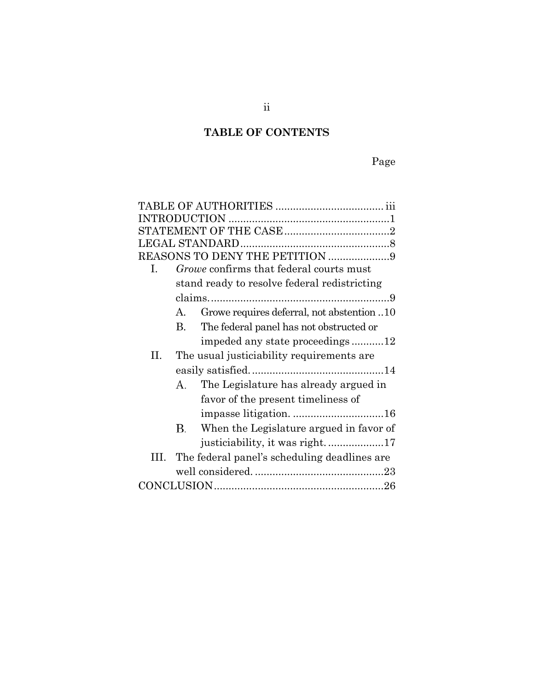# **TABLE OF CONTENTS**

| REASONS TO DENY THE PETITION 9 |                                              |                                              |  |  |
|--------------------------------|----------------------------------------------|----------------------------------------------|--|--|
| Ι.                             |                                              | Growe confirms that federal courts must      |  |  |
|                                | stand ready to resolve federal redistricting |                                              |  |  |
|                                |                                              |                                              |  |  |
|                                | A.                                           | Growe requires deferral, not abstention 10   |  |  |
|                                | <b>B.</b>                                    | The federal panel has not obstructed or      |  |  |
|                                |                                              | impeded any state proceedings12              |  |  |
| П.                             |                                              | The usual justiciability requirements are    |  |  |
|                                |                                              |                                              |  |  |
|                                | А.                                           | The Legislature has already argued in        |  |  |
|                                |                                              | favor of the present timeliness of           |  |  |
|                                |                                              |                                              |  |  |
|                                | В.                                           | When the Legislature argued in favor of      |  |  |
|                                |                                              | justiciability, it was right17               |  |  |
| Ш.                             |                                              | The federal panel's scheduling deadlines are |  |  |
|                                |                                              |                                              |  |  |
|                                |                                              |                                              |  |  |
|                                |                                              |                                              |  |  |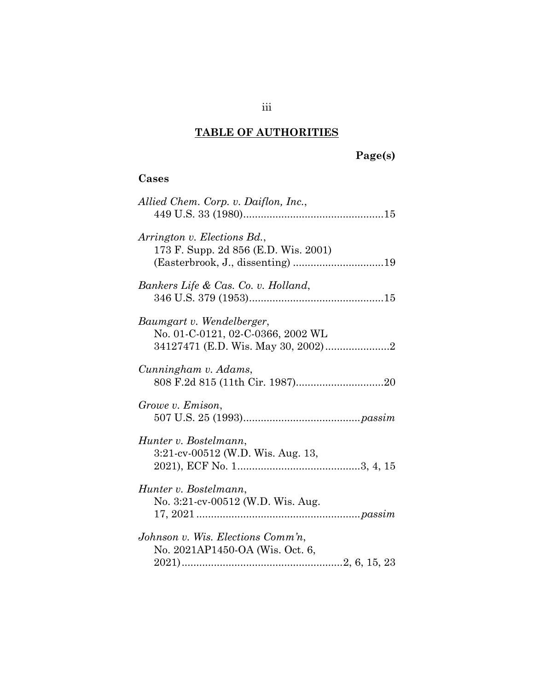# **TABLE OF AUTHORITIES**

# **Page(s)**

# **Cases**

| Allied Chem. Corp. v. Daiflon, Inc.,                                 |
|----------------------------------------------------------------------|
| Arrington v. Elections Bd.,<br>173 F. Supp. 2d 856 (E.D. Wis. 2001)  |
| Bankers Life & Cas. Co. v. Holland,                                  |
| Baumgart v. Wendelberger,<br>No. 01-C-0121, 02-C-0366, 2002 WL       |
| Cunningham v. Adams,                                                 |
| Growe v. Emison,                                                     |
| Hunter v. Bostelmann,<br>3:21-cv-00512 (W.D. Wis. Aug. 13,           |
| Hunter v. Bostelmann,<br>No. 3:21-cv-00512 (W.D. Wis. Aug.           |
| Johnson v. Wis. Elections Comm'n,<br>No. 2021AP1450-OA (Wis. Oct. 6, |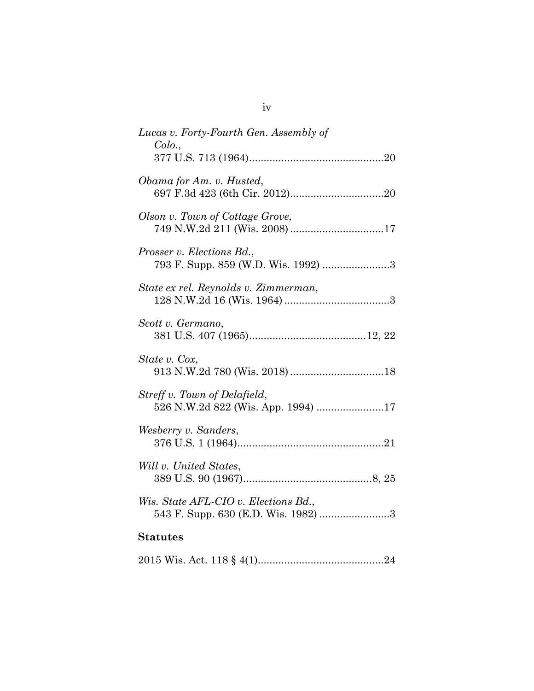| Lucas v. Forty-Fourth Gen. Assembly of<br>Colo.,                            |
|-----------------------------------------------------------------------------|
| Obama for Am. v. Husted,                                                    |
| Olson v. Town of Cottage Grove,<br>749 N.W.2d 211 (Wis. 2008) 17            |
| Prosser v. Elections Bd.,<br>793 F. Supp. 859 (W.D. Wis. 1992) 3            |
| State ex rel. Reynolds v. Zimmerman,                                        |
| Scott v. Germano,                                                           |
| State v. Cox,                                                               |
| Streff v. Town of Delafield,<br>526 N.W.2d 822 (Wis. App. 1994) 17          |
| Wesberry v. Sanders,                                                        |
| Will v. United States,                                                      |
| Wis. State AFL-CIO v. Elections Bd.,<br>543 F. Supp. 630 (E.D. Wis. 1982) 3 |
| <b>Statutes</b>                                                             |
|                                                                             |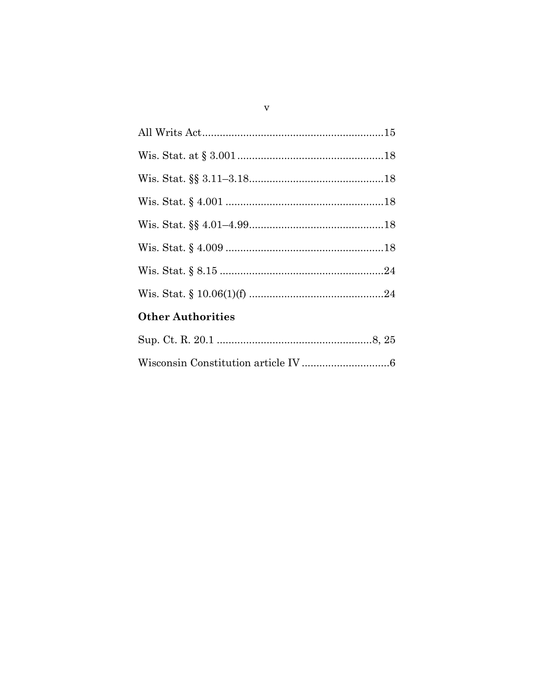| <b>Other Authorities</b> |  |  |  |
|--------------------------|--|--|--|
|                          |  |  |  |
|                          |  |  |  |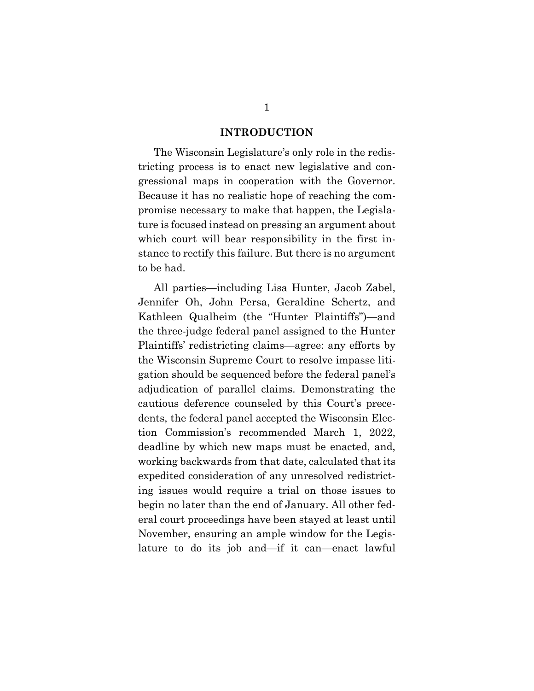#### **INTRODUCTION**

<span id="page-5-0"></span>The Wisconsin Legislature's only role in the redistricting process is to enact new legislative and congressional maps in cooperation with the Governor. Because it has no realistic hope of reaching the compromise necessary to make that happen, the Legislature is focused instead on pressing an argument about which court will bear responsibility in the first instance to rectify this failure. But there is no argument to be had.

All parties—including Lisa Hunter, Jacob Zabel, Jennifer Oh, John Persa, Geraldine Schertz, and Kathleen Qualheim (the "Hunter Plaintiffs")—and the three-judge federal panel assigned to the Hunter Plaintiffs' redistricting claims—agree: any efforts by the Wisconsin Supreme Court to resolve impasse litigation should be sequenced before the federal panel's adjudication of parallel claims. Demonstrating the cautious deference counseled by this Court's precedents, the federal panel accepted the Wisconsin Election Commission's recommended March 1, 2022, deadline by which new maps must be enacted, and, working backwards from that date, calculated that its expedited consideration of any unresolved redistricting issues would require a trial on those issues to begin no later than the end of January. All other federal court proceedings have been stayed at least until November, ensuring an ample window for the Legislature to do its job and—if it can—enact lawful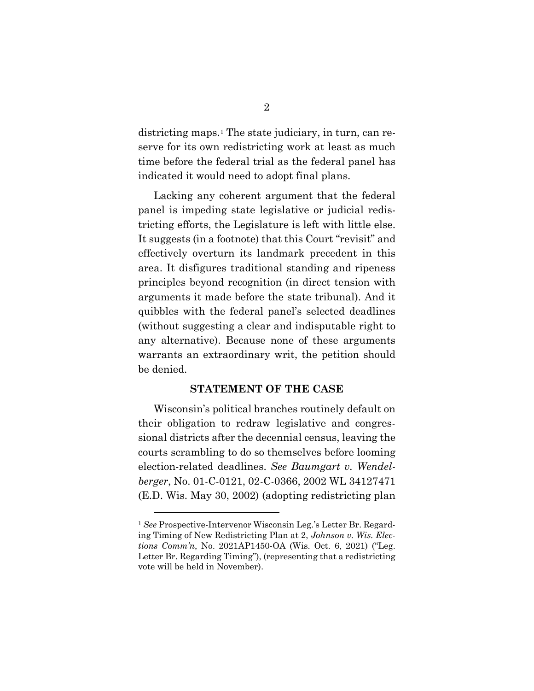districting maps.[1](#page-6-3) The state judiciary, in turn, can reserve for its own redistricting work at least as much time before the federal trial as the federal panel has indicated it would need to adopt final plans.

Lacking any coherent argument that the federal panel is impeding state legislative or judicial redistricting efforts, the Legislature is left with little else. It suggests (in a footnote) that this Court "revisit" and effectively overturn its landmark precedent in this area. It disfigures traditional standing and ripeness principles beyond recognition (in direct tension with arguments it made before the state tribunal). And it quibbles with the federal panel's selected deadlines (without suggesting a clear and indisputable right to any alternative). Because none of these arguments warrants an extraordinary writ, the petition should be denied.

### <span id="page-6-1"></span>**STATEMENT OF THE CASE**

<span id="page-6-0"></span>Wisconsin's political branches routinely default on their obligation to redraw legislative and congressional districts after the decennial census, leaving the courts scrambling to do so themselves before looming election-related deadlines. *See Baumgart v. Wendelberger*, No. 01-C-0121, 02-C-0366, 2002 WL 34127471 (E.D. Wis. May 30, 2002) (adopting redistricting plan

<span id="page-6-3"></span><span id="page-6-2"></span><sup>1</sup> *See* Prospective-Intervenor Wisconsin Leg.'s Letter Br. Regarding Timing of New Redistricting Plan at 2, *Johnson v. Wis. Elections Comm'n*, No. 2021AP1450-OA (Wis. Oct. 6, 2021) ("Leg. Letter Br. Regarding Timing"), (representing that a redistricting vote will be held in November).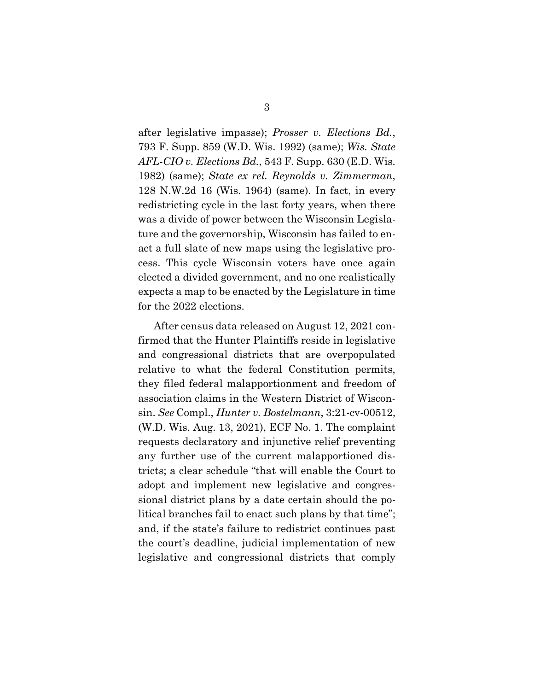<span id="page-7-3"></span><span id="page-7-2"></span><span id="page-7-1"></span>after legislative impasse); *Prosser v. Elections Bd.*, 793 F. Supp. 859 (W.D. Wis. 1992) (same); *Wis. State AFL-CIO v. Elections Bd.*, 543 F. Supp. 630 (E.D. Wis. 1982) (same); *State ex rel. Reynolds v. Zimmerman*, 128 N.W.2d 16 (Wis. 1964) (same). In fact, in every redistricting cycle in the last forty years, when there was a divide of power between the Wisconsin Legislature and the governorship, Wisconsin has failed to enact a full slate of new maps using the legislative process. This cycle Wisconsin voters have once again elected a divided government, and no one realistically expects a map to be enacted by the Legislature in time for the 2022 elections.

<span id="page-7-0"></span>After census data released on August 12, 2021 confirmed that the Hunter Plaintiffs reside in legislative and congressional districts that are overpopulated relative to what the federal Constitution permits, they filed federal malapportionment and freedom of association claims in the Western District of Wisconsin. *See* Compl., *Hunter v. Bostelmann*, 3:21-cv-00512, (W.D. Wis. Aug. 13, 2021), ECF No. 1. The complaint requests declaratory and injunctive relief preventing any further use of the current malapportioned districts; a clear schedule "that will enable the Court to adopt and implement new legislative and congressional district plans by a date certain should the political branches fail to enact such plans by that time"; and, if the state's failure to redistrict continues past the court's deadline, judicial implementation of new legislative and congressional districts that comply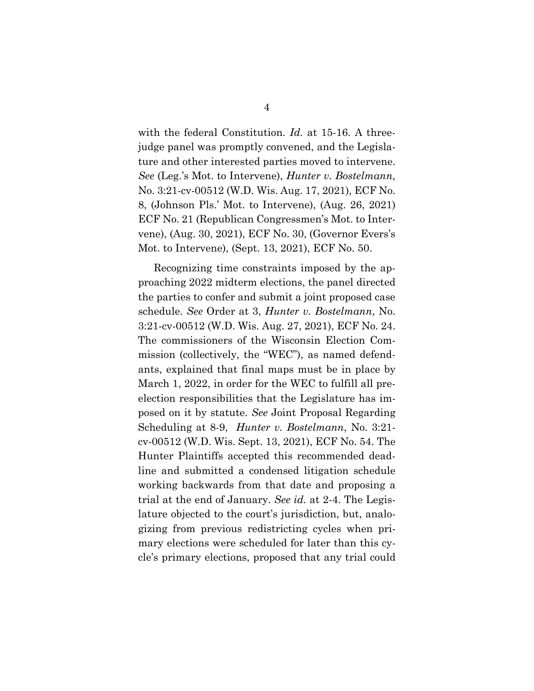<span id="page-8-1"></span><span id="page-8-0"></span>with the federal Constitution. *Id.* at 15-16. A threejudge panel was promptly convened, and the Legislature and other interested parties moved to intervene. *See* (Leg.'s Mot. to Intervene), *Hunter v. Bostelmann*, No. 3:21-cv-00512 (W.D. Wis. Aug. 17, 2021), ECF No. 8, (Johnson Pls.' Mot. to Intervene), (Aug. 26, 2021) ECF No. 21 (Republican Congressmen's Mot. to Intervene), (Aug. 30, 2021), ECF No. 30, (Governor Evers's Mot. to Intervene), (Sept. 13, 2021), ECF No. 50.

Recognizing time constraints imposed by the approaching 2022 midterm elections, the panel directed the parties to confer and submit a joint proposed case schedule. *See* Order at 3, *Hunter v. Bostelmann*, No. 3:21-cv-00512 (W.D. Wis. Aug. 27, 2021), ECF No. 24. The commissioners of the Wisconsin Election Commission (collectively, the "WEC"), as named defendants, explained that final maps must be in place by March 1, 2022, in order for the WEC to fulfill all preelection responsibilities that the Legislature has imposed on it by statute. *See* Joint Proposal Regarding Scheduling at 8-9, *Hunter v. Bostelmann*, No. 3:21 cv-00512 (W.D. Wis. Sept. 13, 2021), ECF No. 54. The Hunter Plaintiffs accepted this recommended deadline and submitted a condensed litigation schedule working backwards from that date and proposing a trial at the end of January. *See id.* at 2-4. The Legislature objected to the court's jurisdiction, but, analogizing from previous redistricting cycles when primary elections were scheduled for later than this cycle's primary elections, proposed that any trial could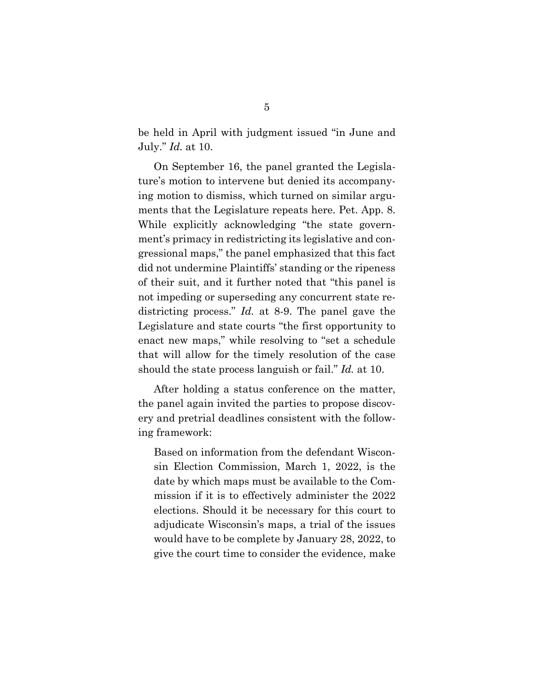be held in April with judgment issued "in June and July." *Id.* at 10.

On September 16, the panel granted the Legislature's motion to intervene but denied its accompanying motion to dismiss, which turned on similar arguments that the Legislature repeats here. Pet. App. 8. While explicitly acknowledging "the state government's primacy in redistricting its legislative and congressional maps," the panel emphasized that this fact did not undermine Plaintiffs' standing or the ripeness of their suit, and it further noted that "this panel is not impeding or superseding any concurrent state redistricting process." *Id.* at 8-9. The panel gave the Legislature and state courts "the first opportunity to enact new maps," while resolving to "set a schedule that will allow for the timely resolution of the case should the state process languish or fail." *Id.* at 10.

After holding a status conference on the matter, the panel again invited the parties to propose discovery and pretrial deadlines consistent with the following framework:

Based on information from the defendant Wisconsin Election Commission, March 1, 2022, is the date by which maps must be available to the Commission if it is to effectively administer the 2022 elections. Should it be necessary for this court to adjudicate Wisconsin's maps, a trial of the issues would have to be complete by January 28, 2022, to give the court time to consider the evidence, make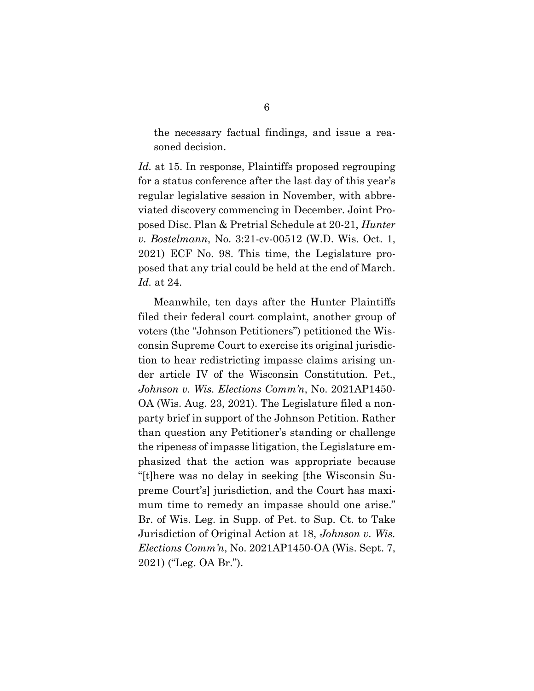the necessary factual findings, and issue a reasoned decision.

*Id.* at 15. In response, Plaintiffs proposed regrouping for a status conference after the last day of this year's regular legislative session in November, with abbreviated discovery commencing in December. Joint Proposed Disc. Plan & Pretrial Schedule at 20-21, *Hunter v. Bostelmann*, No. 3:21-cv-00512 (W.D. Wis. Oct. 1, 2021) ECF No. 98. This time, the Legislature proposed that any trial could be held at the end of March. *Id.* at 24.

<span id="page-10-1"></span><span id="page-10-0"></span>Meanwhile, ten days after the Hunter Plaintiffs filed their federal court complaint, another group of voters (the "Johnson Petitioners") petitioned the Wisconsin Supreme Court to exercise its original jurisdiction to hear redistricting impasse claims arising under article IV of the Wisconsin Constitution. Pet., *Johnson v. Wis. Elections Comm'n*, No. 2021AP1450- OA (Wis. Aug. 23, 2021). The Legislature filed a nonparty brief in support of the Johnson Petition. Rather than question any Petitioner's standing or challenge the ripeness of impasse litigation, the Legislature emphasized that the action was appropriate because "[t]here was no delay in seeking [the Wisconsin Supreme Court's] jurisdiction, and the Court has maximum time to remedy an impasse should one arise." Br. of Wis. Leg. in Supp. of Pet. to Sup. Ct. to Take Jurisdiction of Original Action at 18, *Johnson v. Wis. Elections Comm'n*, No. 2021AP1450-OA (Wis. Sept. 7, 2021) ("Leg. OA Br.").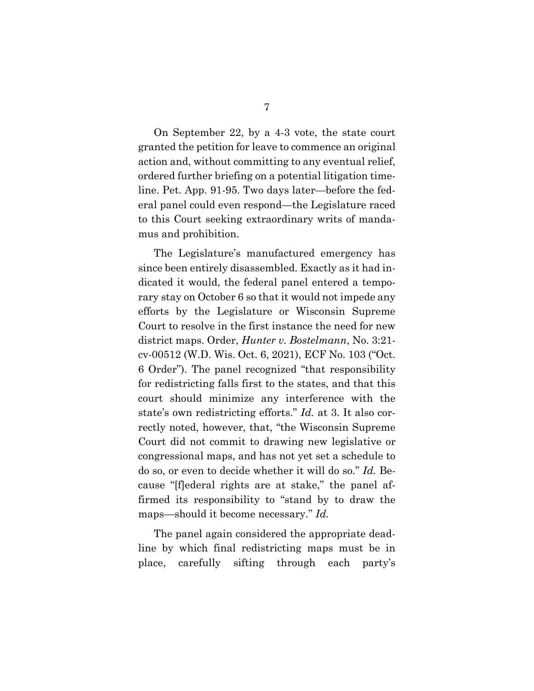On September 22, by a 4-3 vote, the state court granted the petition for leave to commence an original action and, without committing to any eventual relief, ordered further briefing on a potential litigation timeline. Pet. App. 91-95. Two days later—before the federal panel could even respond—the Legislature raced to this Court seeking extraordinary writs of mandamus and prohibition.

The Legislature's manufactured emergency has since been entirely disassembled. Exactly as it had indicated it would, the federal panel entered a temporary stay on October 6 so that it would not impede any efforts by the Legislature or Wisconsin Supreme Court to resolve in the first instance the need for new district maps. Order, *Hunter v. Bostelmann*, No. 3:21 cv-00512 (W.D. Wis. Oct. 6, 2021), ECF No. 103 ("Oct. 6 Order"). The panel recognized "that responsibility for redistricting falls first to the states, and that this court should minimize any interference with the state's own redistricting efforts." *Id.* at 3. It also correctly noted, however, that, "the Wisconsin Supreme Court did not commit to drawing new legislative or congressional maps, and has not yet set a schedule to do so, or even to decide whether it will do so." *Id.* Because "[f]ederal rights are at stake," the panel affirmed its responsibility to "stand by to draw the maps—should it become necessary." *Id.*

The panel again considered the appropriate deadline by which final redistricting maps must be in place, carefully sifting through each party's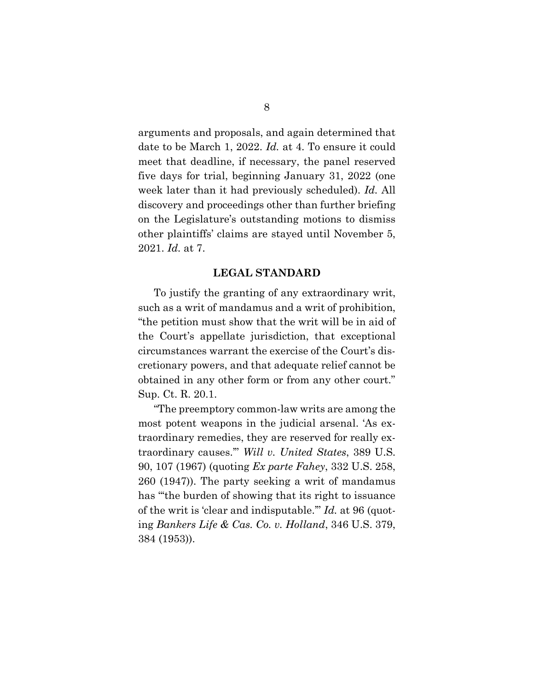arguments and proposals, and again determined that date to be March 1, 2022. *Id.* at 4. To ensure it could meet that deadline, if necessary, the panel reserved five days for trial, beginning January 31, 2022 (one week later than it had previously scheduled). *Id.* All discovery and proceedings other than further briefing on the Legislature's outstanding motions to dismiss other plaintiffs' claims are stayed until November 5, 2021. *Id.* at 7.

#### **LEGAL STANDARD**

<span id="page-12-0"></span>To justify the granting of any extraordinary writ, such as a writ of mandamus and a writ of prohibition, "the petition must show that the writ will be in aid of the Court's appellate jurisdiction, that exceptional circumstances warrant the exercise of the Court's discretionary powers, and that adequate relief cannot be obtained in any other form or from any other court." Sup. Ct. R. 20.1.

<span id="page-12-2"></span><span id="page-12-1"></span>"The preemptory common-law writs are among the most potent weapons in the judicial arsenal. 'As extraordinary remedies, they are reserved for really extraordinary causes.'" *Will v. United States*, 389 U.S. 90, 107 (1967) (quoting *Ex parte Fahey*, 332 U.S. 258, 260 (1947)). The party seeking a writ of mandamus has "'the burden of showing that its right to issuance of the writ is 'clear and indisputable.'" *Id.* at 96 (quoting *Bankers Life & Cas. Co. v. Holland*, 346 U.S. 379, 384 (1953)).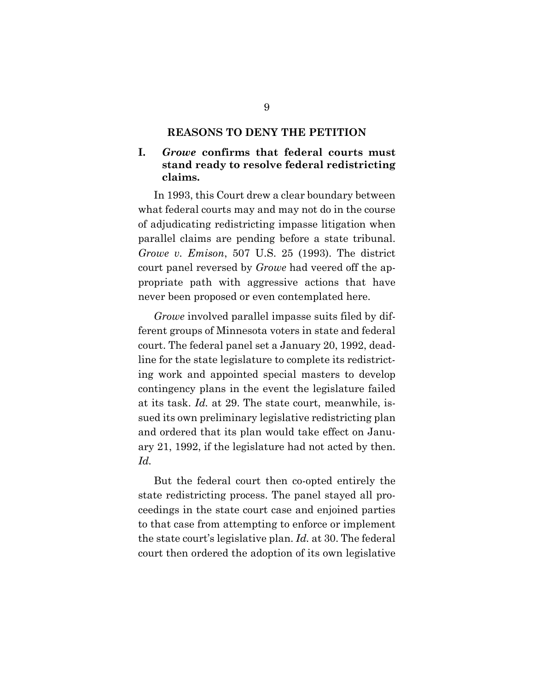#### <span id="page-13-2"></span>**REASONS TO DENY THE PETITION**

### <span id="page-13-1"></span><span id="page-13-0"></span>**I.** *Growe* **confirms that federal courts must stand ready to resolve federal redistricting claims.**

In 1993, this Court drew a clear boundary between what federal courts may and may not do in the course of adjudicating redistricting impasse litigation when parallel claims are pending before a state tribunal. *Growe v. Emison*, 507 U.S. 25 (1993). The district court panel reversed by *Growe* had veered off the appropriate path with aggressive actions that have never been proposed or even contemplated here.

*Growe* involved parallel impasse suits filed by different groups of Minnesota voters in state and federal court. The federal panel set a January 20, 1992, deadline for the state legislature to complete its redistricting work and appointed special masters to develop contingency plans in the event the legislature failed at its task. *Id.* at 29. The state court, meanwhile, issued its own preliminary legislative redistricting plan and ordered that its plan would take effect on January 21, 1992, if the legislature had not acted by then. *Id.*

But the federal court then co-opted entirely the state redistricting process. The panel stayed all proceedings in the state court case and enjoined parties to that case from attempting to enforce or implement the state court's legislative plan. *Id.* at 30. The federal court then ordered the adoption of its own legislative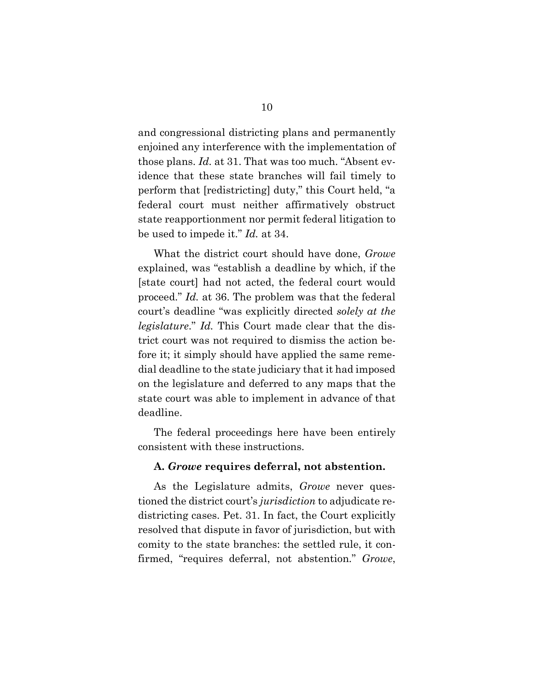and congressional districting plans and permanently enjoined any interference with the implementation of those plans. *Id.* at 31. That was too much. "Absent evidence that these state branches will fail timely to perform that [redistricting] duty," this Court held, "a federal court must neither affirmatively obstruct state reapportionment nor permit federal litigation to be used to impede it." *Id.* at 34.

What the district court should have done, *Growe* explained, was "establish a deadline by which, if the [state court] had not acted, the federal court would proceed." *Id.* at 36. The problem was that the federal court's deadline "was explicitly directed *solely at the legislature*." *Id.* This Court made clear that the district court was not required to dismiss the action before it; it simply should have applied the same remedial deadline to the state judiciary that it had imposed on the legislature and deferred to any maps that the state court was able to implement in advance of that deadline.

The federal proceedings here have been entirely consistent with these instructions.

#### **A.** *Growe* **requires deferral, not abstention.**

As the Legislature admits, *Growe* never questioned the district court's *jurisdiction* to adjudicate redistricting cases. Pet. 31. In fact, the Court explicitly resolved that dispute in favor of jurisdiction, but with comity to the state branches: the settled rule, it confirmed, "requires deferral, not abstention." *Growe*,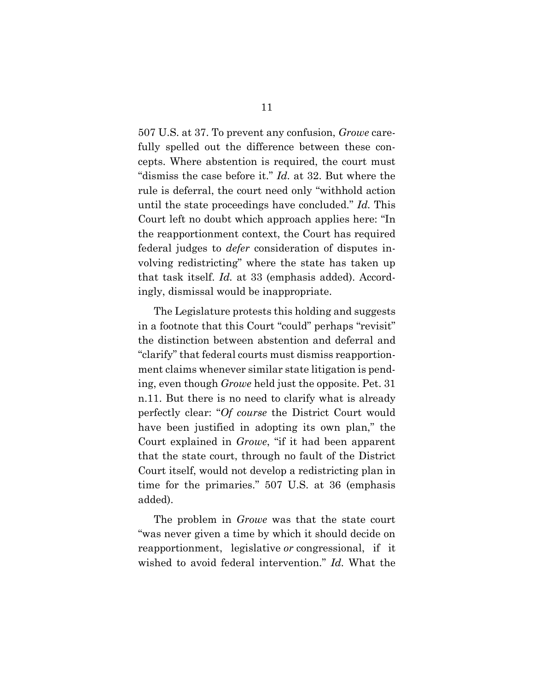507 U.S. at 37. To prevent any confusion, *Growe* carefully spelled out the difference between these concepts. Where abstention is required, the court must "dismiss the case before it." *Id.* at 32. But where the rule is deferral, the court need only "withhold action until the state proceedings have concluded." *Id.* This Court left no doubt which approach applies here: "In the reapportionment context, the Court has required federal judges to *defer* consideration of disputes involving redistricting" where the state has taken up that task itself. *Id.* at 33 (emphasis added). Accordingly, dismissal would be inappropriate.

The Legislature protests this holding and suggests in a footnote that this Court "could" perhaps "revisit" the distinction between abstention and deferral and "clarify" that federal courts must dismiss reapportionment claims whenever similar state litigation is pending, even though *Growe* held just the opposite. Pet. 31 n.11. But there is no need to clarify what is already perfectly clear: "*Of course* the District Court would have been justified in adopting its own plan," the Court explained in *Growe*, "if it had been apparent that the state court, through no fault of the District Court itself, would not develop a redistricting plan in time for the primaries." 507 U.S. at 36 (emphasis added).

The problem in *Growe* was that the state court "was never given a time by which it should decide on reapportionment, legislative *or* congressional, if it wished to avoid federal intervention." *Id.* What the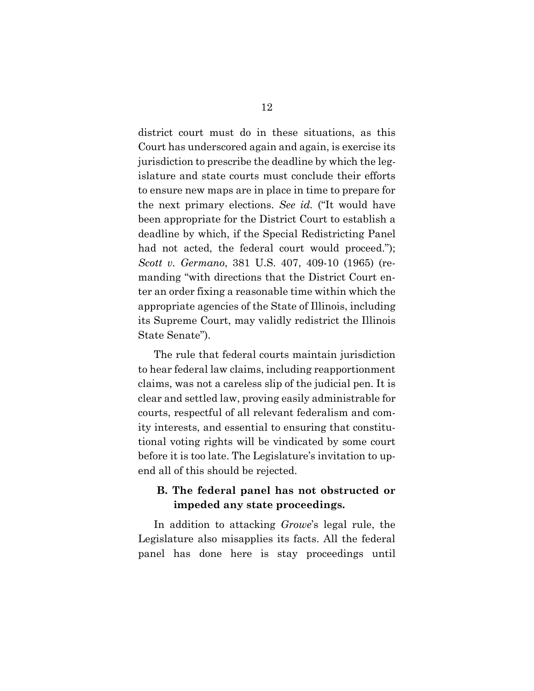district court must do in these situations, as this Court has underscored again and again, is exercise its jurisdiction to prescribe the deadline by which the legislature and state courts must conclude their efforts to ensure new maps are in place in time to prepare for the next primary elections. *See id.* ("It would have been appropriate for the District Court to establish a deadline by which, if the Special Redistricting Panel had not acted, the federal court would proceed."); *Scott v. Germano*, 381 U.S. 407, 409-10 (1965) (remanding "with directions that the District Court enter an order fixing a reasonable time within which the appropriate agencies of the State of Illinois, including its Supreme Court, may validly redistrict the Illinois State Senate").

<span id="page-16-0"></span>The rule that federal courts maintain jurisdiction to hear federal law claims, including reapportionment claims, was not a careless slip of the judicial pen. It is clear and settled law, proving easily administrable for courts, respectful of all relevant federalism and comity interests, and essential to ensuring that constitutional voting rights will be vindicated by some court before it is too late. The Legislature's invitation to upend all of this should be rejected.

## **B. The federal panel has not obstructed or impeded any state proceedings.**

In addition to attacking *Growe*'s legal rule, the Legislature also misapplies its facts. All the federal panel has done here is stay proceedings until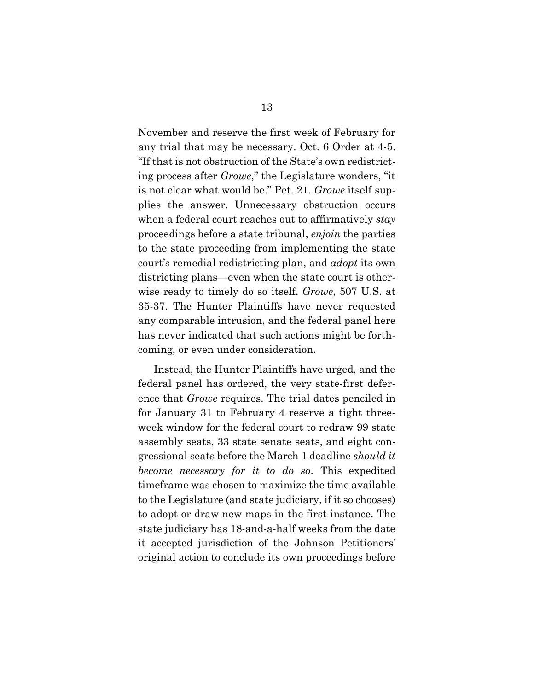November and reserve the first week of February for any trial that may be necessary. Oct. 6 Order at 4-5. "If that is not obstruction of the State's own redistricting process after *Growe*," the Legislature wonders, "it is not clear what would be." Pet. 21. *Growe* itself supplies the answer. Unnecessary obstruction occurs when a federal court reaches out to affirmatively *stay* proceedings before a state tribunal, *enjoin* the parties to the state proceeding from implementing the state court's remedial redistricting plan, and *adopt* its own districting plans—even when the state court is otherwise ready to timely do so itself. *Growe*, 507 U.S. at 35-37. The Hunter Plaintiffs have never requested any comparable intrusion, and the federal panel here has never indicated that such actions might be forthcoming, or even under consideration.

Instead, the Hunter Plaintiffs have urged, and the federal panel has ordered, the very state-first deference that *Growe* requires. The trial dates penciled in for January 31 to February 4 reserve a tight threeweek window for the federal court to redraw 99 state assembly seats, 33 state senate seats, and eight congressional seats before the March 1 deadline *should it become necessary for it to do so*. This expedited timeframe was chosen to maximize the time available to the Legislature (and state judiciary, if it so chooses) to adopt or draw new maps in the first instance. The state judiciary has 18-and-a-half weeks from the date it accepted jurisdiction of the Johnson Petitioners' original action to conclude its own proceedings before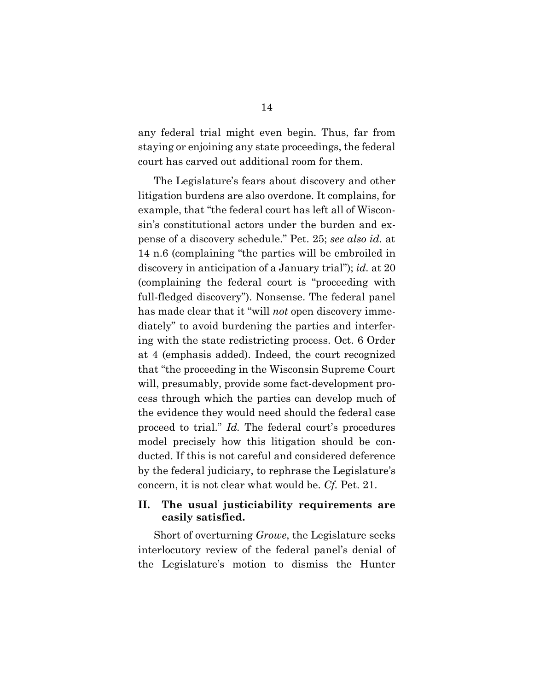any federal trial might even begin. Thus, far from staying or enjoining any state proceedings, the federal court has carved out additional room for them.

The Legislature's fears about discovery and other litigation burdens are also overdone. It complains, for example, that "the federal court has left all of Wisconsin's constitutional actors under the burden and expense of a discovery schedule." Pet. 25; *see also id.* at 14 n.6 (complaining "the parties will be embroiled in discovery in anticipation of a January trial"); *id.* at 20 (complaining the federal court is "proceeding with full-fledged discovery"). Nonsense. The federal panel has made clear that it "will *not* open discovery immediately" to avoid burdening the parties and interfering with the state redistricting process. Oct. 6 Order at 4 (emphasis added). Indeed, the court recognized that "the proceeding in the Wisconsin Supreme Court will, presumably, provide some fact-development process through which the parties can develop much of the evidence they would need should the federal case proceed to trial." *Id.* The federal court's procedures model precisely how this litigation should be conducted. If this is not careful and considered deference by the federal judiciary, to rephrase the Legislature's concern, it is not clear what would be. *Cf.* Pet. 21.

### <span id="page-18-0"></span>**II. The usual justiciability requirements are easily satisfied.**

Short of overturning *Growe*, the Legislature seeks interlocutory review of the federal panel's denial of the Legislature's motion to dismiss the Hunter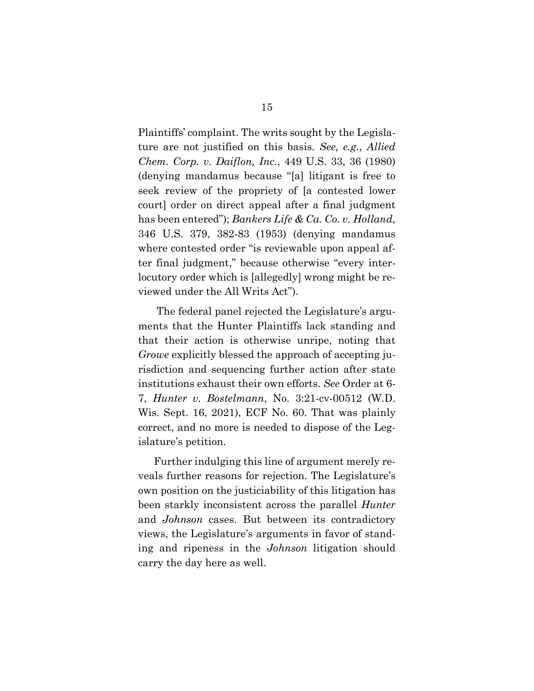<span id="page-19-1"></span><span id="page-19-0"></span>Plaintiffs' complaint. The writs sought by the Legislature are not justified on this basis. *See, e.g.*, *Allied Chem. Corp. v. Daiflon, Inc.*, 449 U.S. 33, 36 (1980) (denying mandamus because "[a] litigant is free to seek review of the propriety of [a contested lower court] order on direct appeal after a final judgment has been entered"); *Bankers Life & Ca. Co. v. Holland*, 346 U.S. 379, 382-83 (1953) (denying mandamus where contested order "is reviewable upon appeal after final judgment," because otherwise "every interlocutory order which is [allegedly] wrong might be reviewed under the All Writs Act").

<span id="page-19-4"></span>The federal panel rejected the Legislature's arguments that the Hunter Plaintiffs lack standing and that their action is otherwise unripe, noting that *Growe* explicitly blessed the approach of accepting jurisdiction and sequencing further action after state institutions exhaust their own efforts. *See* Order at 6- 7, *Hunter v. Bostelmann*, No. 3:21-cv-00512 (W.D. Wis. Sept. 16, 2021), ECF No. 60. That was plainly correct, and no more is needed to dispose of the Legislature's petition.

<span id="page-19-3"></span><span id="page-19-2"></span>Further indulging this line of argument merely reveals further reasons for rejection. The Legislature's own position on the justiciability of this litigation has been starkly inconsistent across the parallel *Hunter* and *Johnson* cases. But between its contradictory views, the Legislature's arguments in favor of standing and ripeness in the *Johnson* litigation should carry the day here as well.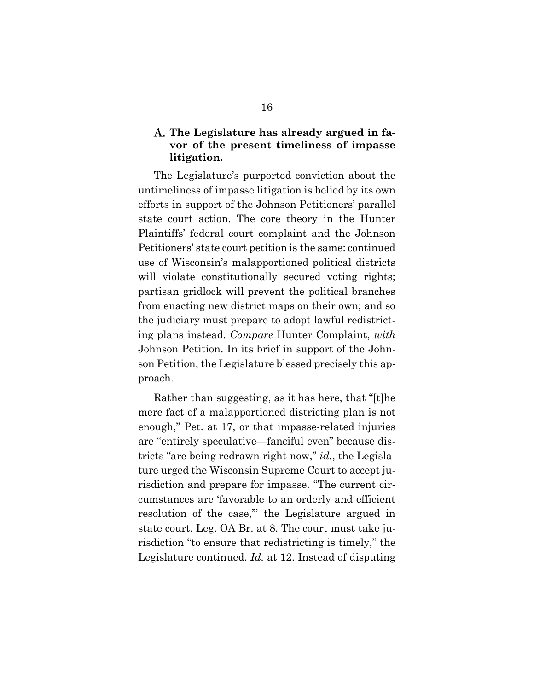### <span id="page-20-0"></span>**The Legislature has already argued in favor of the present timeliness of impasse litigation.**

The Legislature's purported conviction about the untimeliness of impasse litigation is belied by its own efforts in support of the Johnson Petitioners' parallel state court action. The core theory in the Hunter Plaintiffs' federal court complaint and the Johnson Petitioners' state court petition is the same: continued use of Wisconsin's malapportioned political districts will violate constitutionally secured voting rights; partisan gridlock will prevent the political branches from enacting new district maps on their own; and so the judiciary must prepare to adopt lawful redistricting plans instead. *Compare* Hunter Complaint, *with* Johnson Petition. In its brief in support of the Johnson Petition, the Legislature blessed precisely this approach.

Rather than suggesting, as it has here, that "[t]he mere fact of a malapportioned districting plan is not enough," Pet. at 17, or that impasse-related injuries are "entirely speculative—fanciful even" because districts "are being redrawn right now," *id.*, the Legislature urged the Wisconsin Supreme Court to accept jurisdiction and prepare for impasse. "The current circumstances are 'favorable to an orderly and efficient resolution of the case,'" the Legislature argued in state court. Leg. OA Br. at 8. The court must take jurisdiction "to ensure that redistricting is timely," the Legislature continued. *Id.* at 12. Instead of disputing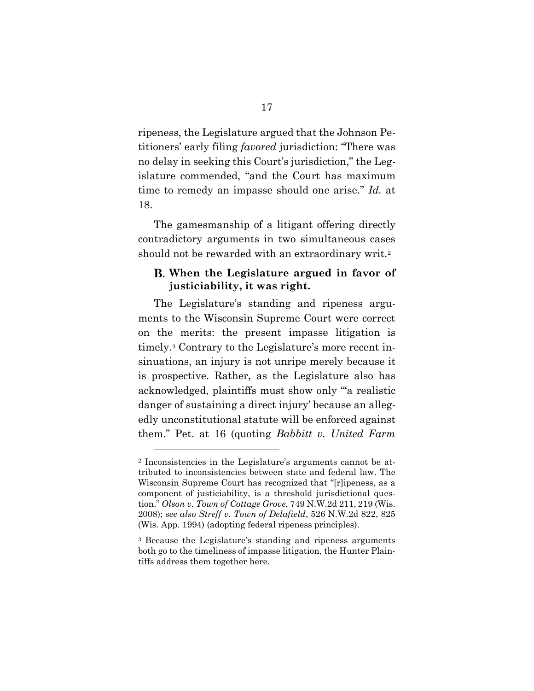ripeness, the Legislature argued that the Johnson Petitioners' early filing *favored* jurisdiction: "There was no delay in seeking this Court's jurisdiction," the Legislature commended, "and the Court has maximum time to remedy an impasse should one arise." *Id.* at 18.

The gamesmanship of a litigant offering directly contradictory arguments in two simultaneous cases should not be rewarded with an extraordinary writ.<sup>[2](#page-21-3)</sup>

## <span id="page-21-0"></span>**When the Legislature argued in favor of justiciability, it was right.**

The Legislature's standing and ripeness arguments to the Wisconsin Supreme Court were correct on the merits: the present impasse litigation is timely.[3](#page-21-4) Contrary to the Legislature's more recent insinuations, an injury is not unripe merely because it is prospective. Rather, as the Legislature also has acknowledged, plaintiffs must show only "'a realistic danger of sustaining a direct injury' because an allegedly unconstitutional statute will be enforced against them." Pet. at 16 (quoting *Babbitt v. United Farm* 

<span id="page-21-3"></span><sup>2</sup> Inconsistencies in the Legislature's arguments cannot be attributed to inconsistencies between state and federal law. The Wisconsin Supreme Court has recognized that "[r]ipeness, as a component of justiciability, is a threshold jurisdictional question." *Olson v. Town of Cottage Grove*, 749 N.W.2d 211, 219 (Wis. 2008); *see also Streff v. Town of Delafield*, 526 N.W.2d 822, 825 (Wis. App. 1994) (adopting federal ripeness principles).

<span id="page-21-4"></span><span id="page-21-2"></span><span id="page-21-1"></span><sup>3</sup> Because the Legislature's standing and ripeness arguments both go to the timeliness of impasse litigation, the Hunter Plaintiffs address them together here.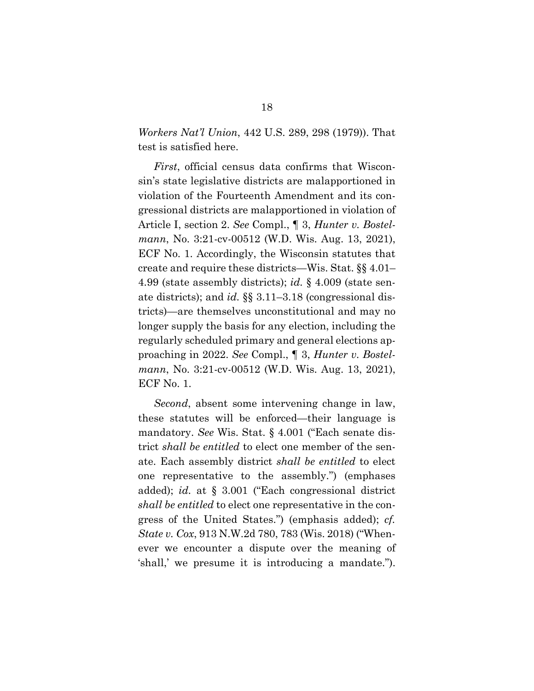*Workers Nat'l Union*, 442 U.S. 289, 298 (1979)). That test is satisfied here.

<span id="page-22-5"></span><span id="page-22-4"></span>*First*, official census data confirms that Wisconsin's state legislative districts are malapportioned in violation of the Fourteenth Amendment and its congressional districts are malapportioned in violation of Article I, section 2. *See* Compl., ¶ 3, *Hunter v. Bostelmann*, No. 3:21-cv-00512 (W.D. Wis. Aug. 13, 2021), ECF No. 1. Accordingly, the Wisconsin statutes that create and require these districts—Wis. Stat. §§ 4.01– 4.99 (state assembly districts); *id.* § 4.009 (state senate districts); and *id.* §§ 3.11–3.18 (congressional districts)—are themselves unconstitutional and may no longer supply the basis for any election, including the regularly scheduled primary and general elections approaching in 2022. *See* Compl., ¶ 3, *Hunter v. Bostelmann*, No. 3:21-cv-00512 (W.D. Wis. Aug. 13, 2021), ECF No. 1.

<span id="page-22-3"></span><span id="page-22-2"></span><span id="page-22-1"></span><span id="page-22-0"></span>*Second*, absent some intervening change in law, these statutes will be enforced—their language is mandatory. *See* Wis. Stat. § 4.001 ("Each senate district *shall be entitled* to elect one member of the senate. Each assembly district *shall be entitled* to elect one representative to the assembly.") (emphases added); *id.* at § 3.001 ("Each congressional district *shall be entitled* to elect one representative in the congress of the United States.") (emphasis added); *cf. State v. Cox*, 913 N.W.2d 780, 783 (Wis. 2018) ("Whenever we encounter a dispute over the meaning of 'shall,' we presume it is introducing a mandate.").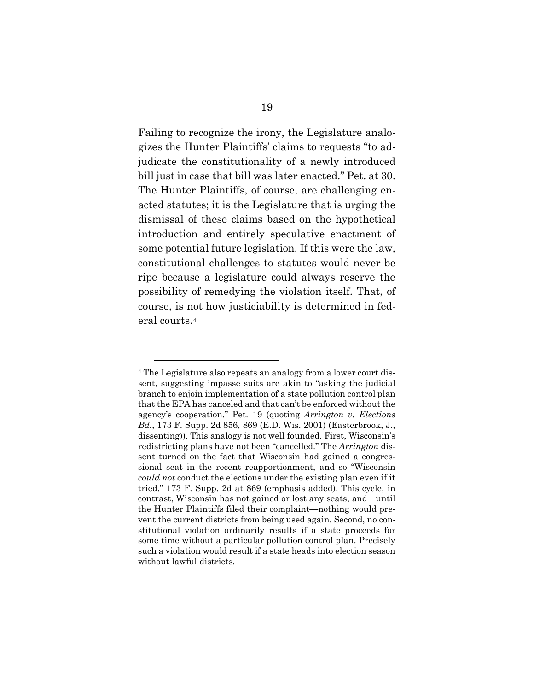Failing to recognize the irony, the Legislature analogizes the Hunter Plaintiffs' claims to requests "to adjudicate the constitutionality of a newly introduced bill just in case that bill was later enacted." Pet. at 30. The Hunter Plaintiffs, of course, are challenging enacted statutes; it is the Legislature that is urging the dismissal of these claims based on the hypothetical introduction and entirely speculative enactment of some potential future legislation. If this were the law, constitutional challenges to statutes would never be ripe because a legislature could always reserve the possibility of remedying the violation itself. That, of course, is not how justiciability is determined in federal courts.[4](#page-23-1)

<span id="page-23-1"></span><span id="page-23-0"></span><sup>4</sup> The Legislature also repeats an analogy from a lower court dissent, suggesting impasse suits are akin to "asking the judicial branch to enjoin implementation of a state pollution control plan that the EPA has canceled and that can't be enforced without the agency's cooperation." Pet. 19 (quoting *Arrington v. Elections Bd.*, 173 F. Supp. 2d 856, 869 (E.D. Wis. 2001) (Easterbrook, J., dissenting)). This analogy is not well founded. First, Wisconsin's redistricting plans have not been "cancelled." The *Arrington* dissent turned on the fact that Wisconsin had gained a congressional seat in the recent reapportionment, and so "Wisconsin *could not* conduct the elections under the existing plan even if it tried." 173 F. Supp. 2d at 869 (emphasis added). This cycle, in contrast, Wisconsin has not gained or lost any seats, and—until the Hunter Plaintiffs filed their complaint—nothing would prevent the current districts from being used again. Second, no constitutional violation ordinarily results if a state proceeds for some time without a particular pollution control plan. Precisely such a violation would result if a state heads into election season without lawful districts.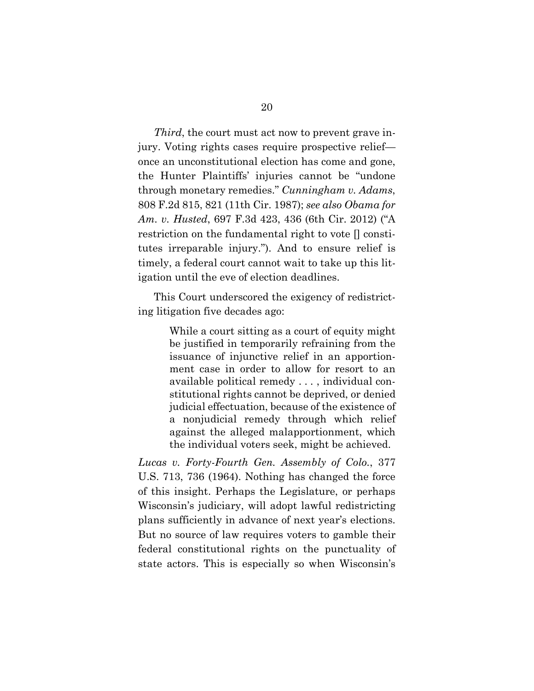<span id="page-24-0"></span>*Third*, the court must act now to prevent grave injury. Voting rights cases require prospective relief once an unconstitutional election has come and gone, the Hunter Plaintiffs' injuries cannot be "undone through monetary remedies." *Cunningham v. Adams*, 808 F.2d 815, 821 (11th Cir. 1987); *see also Obama for Am. v. Husted*, 697 F.3d 423, 436 (6th Cir. 2012) ("A restriction on the fundamental right to vote [] constitutes irreparable injury."). And to ensure relief is timely, a federal court cannot wait to take up this litigation until the eve of election deadlines.

This Court underscored the exigency of redistricting litigation five decades ago:

> <span id="page-24-2"></span>While a court sitting as a court of equity might be justified in temporarily refraining from the issuance of injunctive relief in an apportionment case in order to allow for resort to an available political remedy . . . , individual constitutional rights cannot be deprived, or denied judicial effectuation, because of the existence of a nonjudicial remedy through which relief against the alleged malapportionment, which the individual voters seek, might be achieved.

<span id="page-24-1"></span>*Lucas v. Forty-Fourth Gen. Assembly of Colo.*, 377 U.S. 713, 736 (1964). Nothing has changed the force of this insight. Perhaps the Legislature, or perhaps Wisconsin's judiciary, will adopt lawful redistricting plans sufficiently in advance of next year's elections. But no source of law requires voters to gamble their federal constitutional rights on the punctuality of state actors. This is especially so when Wisconsin's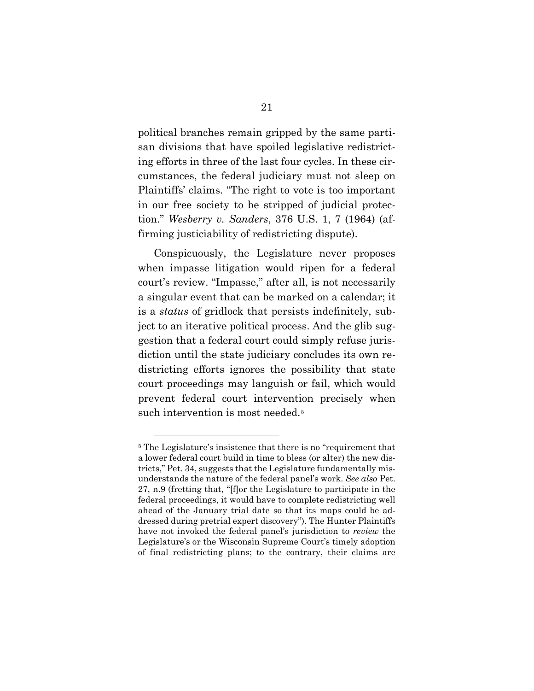political branches remain gripped by the same partisan divisions that have spoiled legislative redistricting efforts in three of the last four cycles. In these circumstances, the federal judiciary must not sleep on Plaintiffs' claims. "The right to vote is too important in our free society to be stripped of judicial protection." *Wesberry v. Sanders*, 376 U.S. 1, 7 (1964) (affirming justiciability of redistricting dispute).

<span id="page-25-0"></span>Conspicuously, the Legislature never proposes when impasse litigation would ripen for a federal court's review. "Impasse," after all, is not necessarily a singular event that can be marked on a calendar; it is a *status* of gridlock that persists indefinitely, subject to an iterative political process. And the glib suggestion that a federal court could simply refuse jurisdiction until the state judiciary concludes its own redistricting efforts ignores the possibility that state court proceedings may languish or fail, which would prevent federal court intervention precisely when such intervention is most needed.<sup>[5](#page-25-1)</sup>

<span id="page-25-1"></span><sup>5</sup> The Legislature's insistence that there is no "requirement that a lower federal court build in time to bless (or alter) the new districts," Pet. 34, suggests that the Legislature fundamentally misunderstands the nature of the federal panel's work. *See also* Pet. 27, n.9 (fretting that, "[f]or the Legislature to participate in the federal proceedings, it would have to complete redistricting well ahead of the January trial date so that its maps could be addressed during pretrial expert discovery"). The Hunter Plaintiffs have not invoked the federal panel's jurisdiction to *review* the Legislature's or the Wisconsin Supreme Court's timely adoption of final redistricting plans; to the contrary, their claims are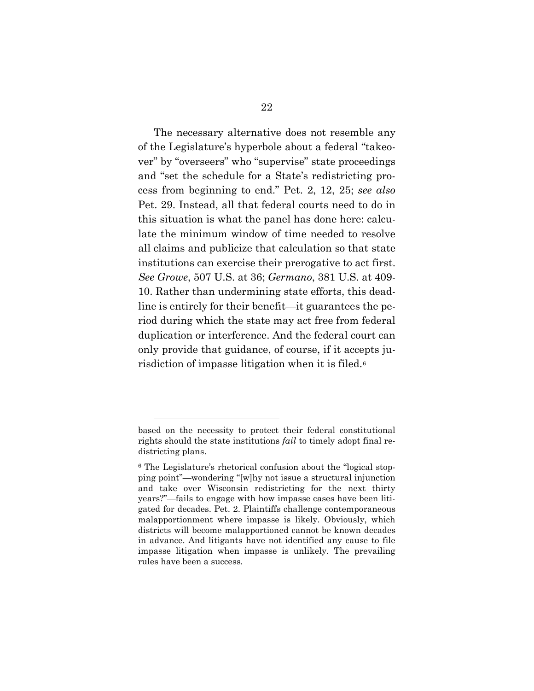<span id="page-26-0"></span>The necessary alternative does not resemble any of the Legislature's hyperbole about a federal "takeover" by "overseers" who "supervise" state proceedings and "set the schedule for a State's redistricting process from beginning to end." Pet. 2, 12, 25; *see also* Pet. 29. Instead, all that federal courts need to do in this situation is what the panel has done here: calculate the minimum window of time needed to resolve all claims and publicize that calculation so that state institutions can exercise their prerogative to act first. *See Growe*, 507 U.S. at 36; *Germano*, 381 U.S. at 409- 10. Rather than undermining state efforts, this deadline is entirely for their benefit—it guarantees the period during which the state may act free from federal duplication or interference. And the federal court can only provide that guidance, of course, if it accepts ju-risdiction of impasse litigation when it is filed.<sup>[6](#page-26-1)</sup>

based on the necessity to protect their federal constitutional rights should the state institutions *fail* to timely adopt final redistricting plans.

<span id="page-26-1"></span><sup>6</sup> The Legislature's rhetorical confusion about the "logical stopping point"—wondering "[w]hy not issue a structural injunction and take over Wisconsin redistricting for the next thirty years?"—fails to engage with how impasse cases have been litigated for decades. Pet. 2. Plaintiffs challenge contemporaneous malapportionment where impasse is likely. Obviously, which districts will become malapportioned cannot be known decades in advance. And litigants have not identified any cause to file impasse litigation when impasse is unlikely. The prevailing rules have been a success.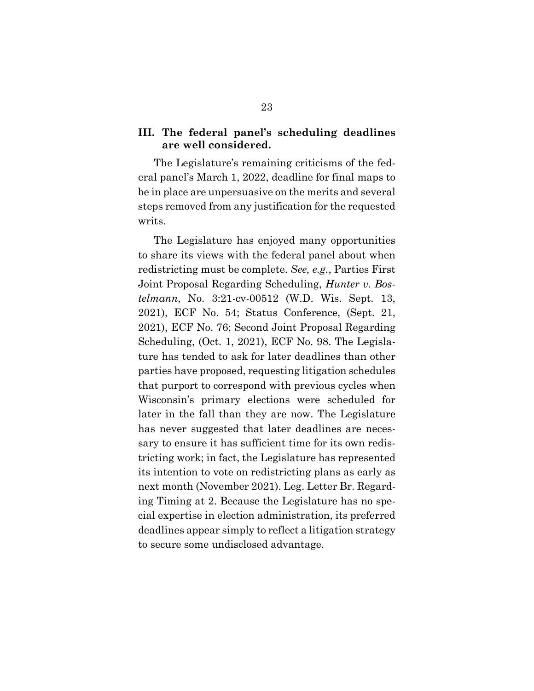### <span id="page-27-0"></span>**III. The federal panel's scheduling deadlines are well considered.**

The Legislature's remaining criticisms of the federal panel's March 1, 2022, deadline for final maps to be in place are unpersuasive on the merits and several steps removed from any justification for the requested writs.

<span id="page-27-1"></span>The Legislature has enjoyed many opportunities to share its views with the federal panel about when redistricting must be complete. *See, e.g.*, Parties First Joint Proposal Regarding Scheduling, *Hunter v. Bostelmann*, No. 3:21-cv-00512 (W.D. Wis. Sept. 13, 2021), ECF No. 54; Status Conference, (Sept. 21, 2021), ECF No. 76; Second Joint Proposal Regarding Scheduling, (Oct. 1, 2021), ECF No. 98. The Legislature has tended to ask for later deadlines than other parties have proposed, requesting litigation schedules that purport to correspond with previous cycles when Wisconsin's primary elections were scheduled for later in the fall than they are now. The Legislature has never suggested that later deadlines are necessary to ensure it has sufficient time for its own redistricting work; in fact, the Legislature has represented its intention to vote on redistricting plans as early as next month (November 2021). Leg. Letter Br. Regarding Timing at 2. Because the Legislature has no special expertise in election administration, its preferred deadlines appear simply to reflect a litigation strategy to secure some undisclosed advantage.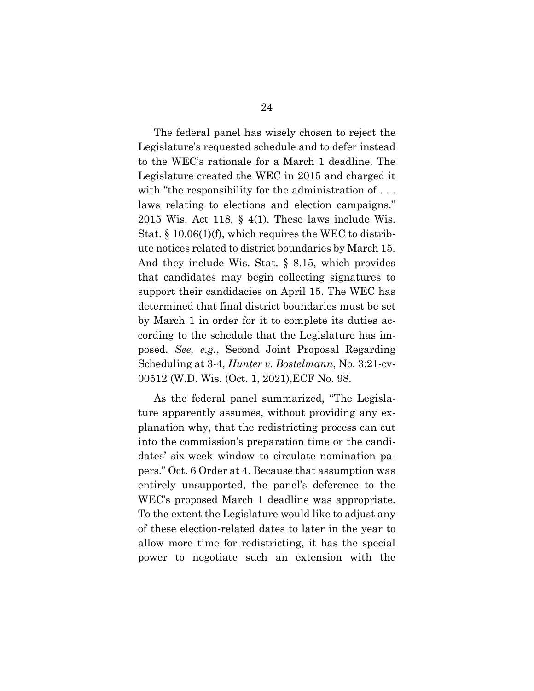<span id="page-28-2"></span><span id="page-28-1"></span><span id="page-28-0"></span>The federal panel has wisely chosen to reject the Legislature's requested schedule and to defer instead to the WEC's rationale for a March 1 deadline. The Legislature created the WEC in 2015 and charged it with "the responsibility for the administration of ... laws relating to elections and election campaigns." 2015 Wis. Act 118,  $\S$  4(1). These laws include Wis. Stat. § 10.06(1)(f), which requires the WEC to distribute notices related to district boundaries by March 15. And they include Wis. Stat. § 8.15, which provides that candidates may begin collecting signatures to support their candidacies on April 15. The WEC has determined that final district boundaries must be set by March 1 in order for it to complete its duties according to the schedule that the Legislature has imposed. *See, e.g.*, Second Joint Proposal Regarding Scheduling at 3-4, *Hunter v. Bostelmann*, No. 3:21-cv-00512 (W.D. Wis. (Oct. 1, 2021),ECF No. 98.

As the federal panel summarized, "The Legislature apparently assumes, without providing any explanation why, that the redistricting process can cut into the commission's preparation time or the candidates' six-week window to circulate nomination papers." Oct. 6 Order at 4. Because that assumption was entirely unsupported, the panel's deference to the WEC's proposed March 1 deadline was appropriate. To the extent the Legislature would like to adjust any of these election-related dates to later in the year to allow more time for redistricting, it has the special power to negotiate such an extension with the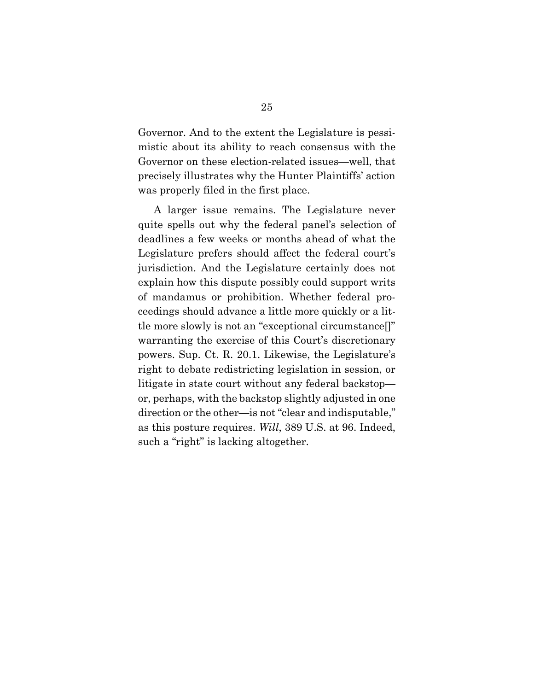Governor. And to the extent the Legislature is pessimistic about its ability to reach consensus with the Governor on these election-related issues—well, that precisely illustrates why the Hunter Plaintiffs' action was properly filed in the first place.

<span id="page-29-1"></span><span id="page-29-0"></span>A larger issue remains. The Legislature never quite spells out why the federal panel's selection of deadlines a few weeks or months ahead of what the Legislature prefers should affect the federal court's jurisdiction. And the Legislature certainly does not explain how this dispute possibly could support writs of mandamus or prohibition. Whether federal proceedings should advance a little more quickly or a little more slowly is not an "exceptional circumstance[]" warranting the exercise of this Court's discretionary powers. Sup. Ct. R. 20.1. Likewise, the Legislature's right to debate redistricting legislation in session, or litigate in state court without any federal backstop or, perhaps, with the backstop slightly adjusted in one direction or the other—is not "clear and indisputable," as this posture requires. *Will*, 389 U.S. at 96. Indeed, such a "right" is lacking altogether.